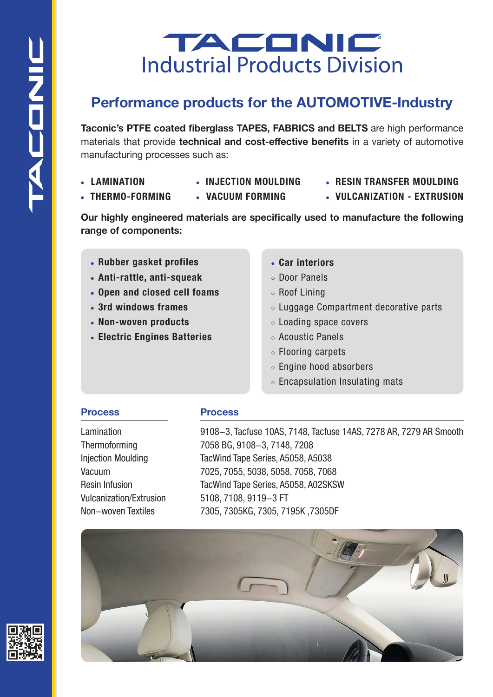## TACONIC **Industrial Products Division**

## **Performance products for the AUTOMOTIVE-Industry**

**Taconic's PTFE coated fiberglass TAPES, FABRICS and BELTS** are high performance materials that provide **technical and cost-effective benefits** in a variety of automotive manufacturing processes such as:

- **LAMINATION**
- **INJECTION MOULDING**
- **THERMO-FORMING**
- **VACUUM FORMING**
- **RESIN TRANSFER MOULDING**
- **VULCANIZATION EXTRUSION**

**Our highly engineered materials are specifically used to manufacture the following range of components:**

- **Rubber gasket profiles**
- **Anti-rattle, anti-squeak**
- **Open and closed cell foams**
- **3rd windows frames**
- **Non-woven products**
- **Electric Engines Batteries**
- **Car interiors**
- Door Panels
- Roof Lining
- Luggage Compartment decorative parts
- Loading space covers
- Acoustic Panels
- Flooring carpets
- Engine hood absorbers
- Encapsulation Insulating mats

## **Process**

Lamination Thermoforming Injection Moulding Vacuum Resin Infusion Vulcanization/Extrusion Non-woven Textiles

## **Process**

9108-3, Tacfuse 10AS, 7148, Tacfuse 14AS, 7278 AR, 7279 AR Smooth 7058 BG, 9108-3, 7148, 7208 TacWind Tape Series, A5058, A5038 7025, 7055, 5038, 5058, 7058, 7068 TacWind Tape Series, A5058, A02SKSW 5108, 7108, 9119-3 FT 7305, 7305KG, 7305, 7195K ,7305DF